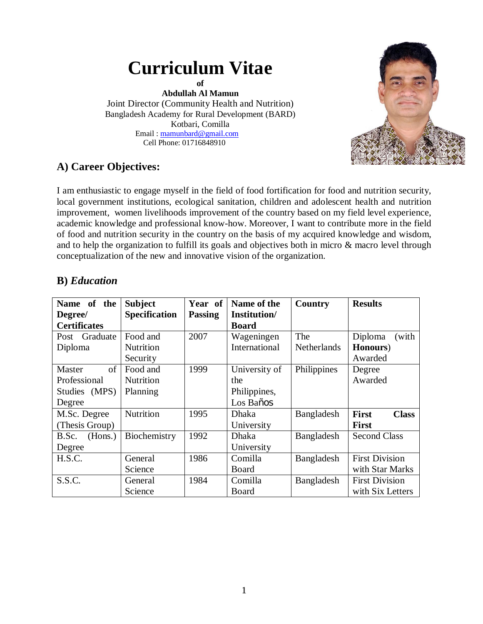# **Curriculum Vitae of**

**Abdullah Al Mamun** Joint Director (Community Health and Nutrition) Bangladesh Academy for Rural Development (BARD) Kotbari, Comilla Email : mamunbard@gmail.com Cell Phone: 01716848910



## **A) Career Objectives:**

I am enthusiastic to engage myself in the field of food fortification for food and nutrition security, local government institutions, ecological sanitation, children and adolescent health and nutrition improvement, women livelihoods improvement of the country based on my field level experience, academic knowledge and professional know-how. Moreover, I want to contribute more in the field of food and nutrition security in the country on the basis of my acquired knowledge and wisdom, and to help the organization to fulfill its goals and objectives both in micro & macro level through conceptualization of the new and innovative vision of the organization.

| Name of the         | <b>Subject</b>       | Year of        | Name of the   | Country            | <b>Results</b>               |
|---------------------|----------------------|----------------|---------------|--------------------|------------------------------|
| Degree/             | <b>Specification</b> | <b>Passing</b> | Institution/  |                    |                              |
| <b>Certificates</b> |                      |                | <b>Board</b>  |                    |                              |
| Post Graduate       | Food and             | 2007           | Wageningen    | The                | Diploma<br>(with             |
| Diploma             | <b>Nutrition</b>     |                | International | <b>Netherlands</b> | Honours)                     |
|                     | Security             |                |               |                    | Awarded                      |
| of<br>Master        | Food and             | 1999           | University of | Philippines        | Degree                       |
| Professional        | <b>Nutrition</b>     |                | the           |                    | Awarded                      |
| Studies (MPS)       | Planning             |                | Philippines,  |                    |                              |
| Degree              |                      |                | Los Baños     |                    |                              |
| M.Sc. Degree        | Nutrition            | 1995           | <b>Dhaka</b>  | Bangladesh         | <b>First</b><br><b>Class</b> |
| (Thesis Group)      |                      |                | University    |                    | <b>First</b>                 |
| (Hons.)<br>B.Sc.    | Biochemistry         | 1992           | <b>Dhaka</b>  | Bangladesh         | <b>Second Class</b>          |
| Degree              |                      |                | University    |                    |                              |
| H.S.C.              | General              | 1986           | Comilla       | Bangladesh         | <b>First Division</b>        |
|                     | Science              |                | Board         |                    | with Star Marks              |
| S.S.C.              | General              | 1984           | Comilla       | Bangladesh         | <b>First Division</b>        |
|                     | Science              |                | Board         |                    | with Six Letters             |

## **B)** *Education*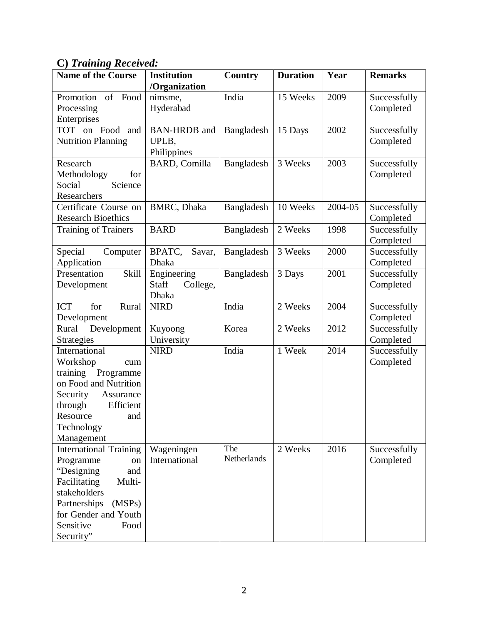## **C)** *Training Received:*

| <b>Name of the Course</b>     | <b>Institution</b>   | <b>Country</b> | <b>Duration</b> | Year    | <b>Remarks</b> |
|-------------------------------|----------------------|----------------|-----------------|---------|----------------|
|                               | /Organization        |                |                 |         |                |
| Promotion<br>of Food          | nimsme,              | India          | 15 Weeks        | 2009    | Successfully   |
| Processing                    | Hyderabad            |                |                 |         | Completed      |
| Enterprises                   |                      |                |                 |         |                |
| TOT on Food<br>and            | <b>BAN-HRDB</b> and  | Bangladesh     | 15 Days         | 2002    | Successfully   |
| <b>Nutrition Planning</b>     | UPLB,                |                |                 |         | Completed      |
|                               | Philippines          |                |                 |         |                |
| Research                      | <b>BARD, Comilla</b> | Bangladesh     | 3 Weeks         | 2003    | Successfully   |
| Methodology<br>for            |                      |                |                 |         | Completed      |
| Science<br>Social             |                      |                |                 |         |                |
| Researchers                   |                      |                |                 |         |                |
| Certificate Course on         | <b>BMRC</b> , Dhaka  | Bangladesh     | 10 Weeks        | 2004-05 | Successfully   |
| <b>Research Bioethics</b>     |                      |                |                 |         | Completed      |
| <b>Training of Trainers</b>   | <b>BARD</b>          | Bangladesh     | 2 Weeks         | 1998    | Successfully   |
|                               |                      |                |                 |         | Completed      |
| Special<br>Computer           | BPATC,<br>Savar,     | Bangladesh     | 3 Weeks         | 2000    | Successfully   |
| Application                   | <b>Dhaka</b>         |                |                 |         | Completed      |
| <b>Skill</b><br>Presentation  | Engineering          | Bangladesh     | 3 Days          | 2001    | Successfully   |
| Development                   | Staff<br>College,    |                |                 |         | Completed      |
|                               | <b>Dhaka</b>         |                |                 |         |                |
| <b>ICT</b><br>for<br>Rural    | <b>NIRD</b>          | India          | 2 Weeks         | 2004    | Successfully   |
| Development                   |                      |                |                 |         | Completed      |
| Rural<br>Development          | Kuyoong              | Korea          | 2 Weeks         | 2012    | Successfully   |
| <b>Strategies</b>             | University           |                |                 |         | Completed      |
| International                 | <b>NIRD</b>          | India          | 1 Week          | 2014    | Successfully   |
| Workshop<br>cum               |                      |                |                 |         | Completed      |
| Programme<br>training         |                      |                |                 |         |                |
| on Food and Nutrition         |                      |                |                 |         |                |
| Security<br>Assurance         |                      |                |                 |         |                |
| through<br>Efficient          |                      |                |                 |         |                |
| Resource<br>and               |                      |                |                 |         |                |
| Technology                    |                      |                |                 |         |                |
| Management                    |                      |                |                 |         |                |
| <b>International Training</b> | Wageningen           | The            | 2 Weeks         | 2016    | Successfully   |
| Programme<br>on               | International        | Netherlands    |                 |         | Completed      |
| "Designing<br>and             |                      |                |                 |         |                |
| Facilitating<br>Multi-        |                      |                |                 |         |                |
| stakeholders                  |                      |                |                 |         |                |
| Partnerships<br>(MSPs)        |                      |                |                 |         |                |
| for Gender and Youth          |                      |                |                 |         |                |
| Sensitive<br>Food             |                      |                |                 |         |                |
| Security"                     |                      |                |                 |         |                |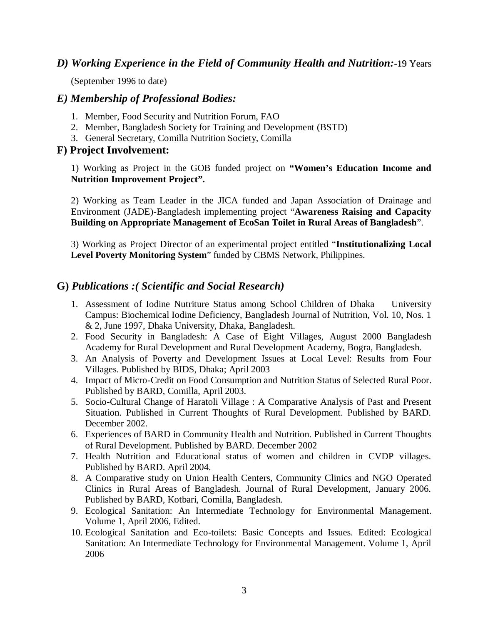#### *D) Working Experience in the Field of Community Health and Nutrition:*-19 Years

(September 1996 to date)

#### *E) Membership of Professional Bodies:*

- 1. Member, Food Security and Nutrition Forum, FAO
- 2. Member, Bangladesh Society for Training and Development (BSTD)
- 3. General Secretary, Comilla Nutrition Society, Comilla

#### **F) Project Involvement:**

1) Working as Project in the GOB funded project on **"Women's Education Income and Nutrition Improvement Project".**

2) Working as Team Leader in the JICA funded and Japan Association of Drainage and Environment (JADE)-Bangladesh implementing project "**Awareness Raising and Capacity Building on Appropriate Management of EcoSan Toilet in Rural Areas of Bangladesh**".

3) Working as Project Director of an experimental project entitled "**Institutionalizing Local Level Poverty Monitoring System**" funded by CBMS Network, Philippines.

#### **G)** *Publications :( Scientific and Social Research)*

- 1. Assessment of Iodine Nutriture Status among School Children of Dhaka University Campus: Biochemical Iodine Deficiency, Bangladesh Journal of Nutrition, Vol. 10, Nos. 1 & 2, June 1997, Dhaka University, Dhaka, Bangladesh.
- 2. Food Security in Bangladesh: A Case of Eight Villages, August 2000 Bangladesh Academy for Rural Development and Rural Development Academy, Bogra, Bangladesh.
- 3. An Analysis of Poverty and Development Issues at Local Level: Results from Four Villages. Published by BIDS, Dhaka; April 2003
- 4. Impact of Micro-Credit on Food Consumption and Nutrition Status of Selected Rural Poor. Published by BARD, Comilla, April 2003.
- 5. Socio-Cultural Change of Haratoli Village : A Comparative Analysis of Past and Present Situation. Published in Current Thoughts of Rural Development. Published by BARD. December 2002.
- 6. Experiences of BARD in Community Health and Nutrition. Published in Current Thoughts of Rural Development. Published by BARD. December 2002
- 7. Health Nutrition and Educational status of women and children in CVDP villages. Published by BARD. April 2004.
- 8. A Comparative study on Union Health Centers, Community Clinics and NGO Operated Clinics in Rural Areas of Bangladesh. Journal of Rural Development, January 2006. Published by BARD, Kotbari, Comilla, Bangladesh.
- 9. Ecological Sanitation: An Intermediate Technology for Environmental Management. Volume 1, April 2006, Edited.
- 10. Ecological Sanitation and Eco-toilets: Basic Concepts and Issues. Edited: Ecological Sanitation: An Intermediate Technology for Environmental Management. Volume 1, April 2006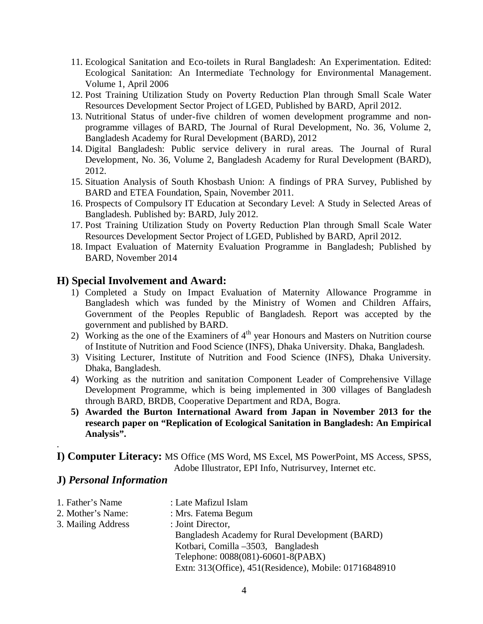- 11. Ecological Sanitation and Eco-toilets in Rural Bangladesh: An Experimentation. Edited: Ecological Sanitation: An Intermediate Technology for Environmental Management. Volume 1, April 2006
- 12. Post Training Utilization Study on Poverty Reduction Plan through Small Scale Water Resources Development Sector Project of LGED, Published by BARD, April 2012.
- 13. Nutritional Status of under-five children of women development programme and nonprogramme villages of BARD, The Journal of Rural Development, No. 36, Volume 2, Bangladesh Academy for Rural Development (BARD), 2012
- 14. Digital Bangladesh: Public service delivery in rural areas. The Journal of Rural Development, No. 36, Volume 2, Bangladesh Academy for Rural Development (BARD), 2012.
- 15. Situation Analysis of South Khosbash Union: A findings of PRA Survey, Published by BARD and ETEA Foundation, Spain, November 2011.
- 16. Prospects of Compulsory IT Education at Secondary Level: A Study in Selected Areas of Bangladesh. Published by: BARD, July 2012.
- 17. Post Training Utilization Study on Poverty Reduction Plan through Small Scale Water Resources Development Sector Project of LGED, Published by BARD, April 2012.
- 18. Impact Evaluation of Maternity Evaluation Programme in Bangladesh; Published by BARD, November 2014

#### **H) Special Involvement and Award:**

- 1) Completed a Study on Impact Evaluation of Maternity Allowance Programme in Bangladesh which was funded by the Ministry of Women and Children Affairs, Government of the Peoples Republic of Bangladesh. Report was accepted by the government and published by BARD.
- 2) Working as the one of the Examiners of  $4<sup>th</sup>$  year Honours and Masters on Nutrition course of Institute of Nutrition and Food Science (INFS), Dhaka University. Dhaka, Bangladesh.
- 3) Visiting Lecturer, Institute of Nutrition and Food Science (INFS), Dhaka University. Dhaka, Bangladesh.
- 4) Working as the nutrition and sanitation Component Leader of Comprehensive Village Development Programme, which is being implemented in 300 villages of Bangladesh through BARD, BRDB, Cooperative Department and RDA, Bogra.
- **5) Awarded the Burton International Award from Japan in November 2013 for the research paper on "Replication of Ecological Sanitation in Bangladesh: An Empirical Analysis".**

**I) Computer Literacy:** MS Office (MS Word, MS Excel, MS PowerPoint, MS Access, SPSS, Adobe Illustrator, EPI Info, Nutrisurvey, Internet etc.

#### **J)** *Personal Information*

.

1. Father's Name : Late Mafizul Islam 2. Mother's Name: : Mrs. Fatema Begum 3. Mailing Address : Joint Director, Bangladesh Academy for Rural Development (BARD) Kotbari, Comilla –3503, Bangladesh Telephone: 0088(081)-60601-8(PABX) Extn: 313(Office), 451(Residence), Mobile: 01716848910